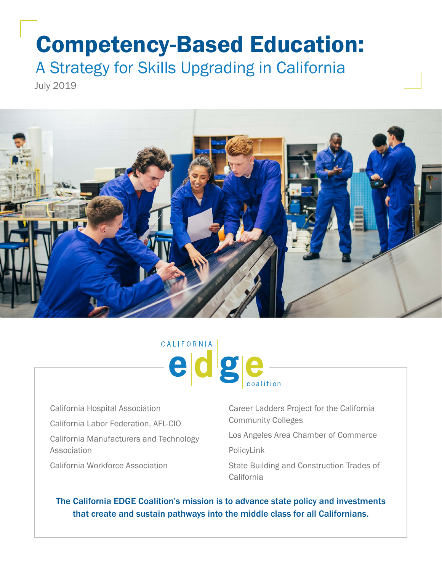# Competency-Based Education:

A Strategy for Skills Upgrading in California

July 2019





California Hospital Association California Labor Federation, AFL-CIO California Manufacturers and Technology Association California Workforce Association

Career Ladders Project for the California Community Colleges

Los Angeles Area Chamber of Commerce

PolicyLink

State Building and Construction Trades of California

The California EDGE Coalition's mission is to advance state policy and investments that create and sustain pathways into the middle class for all Californians.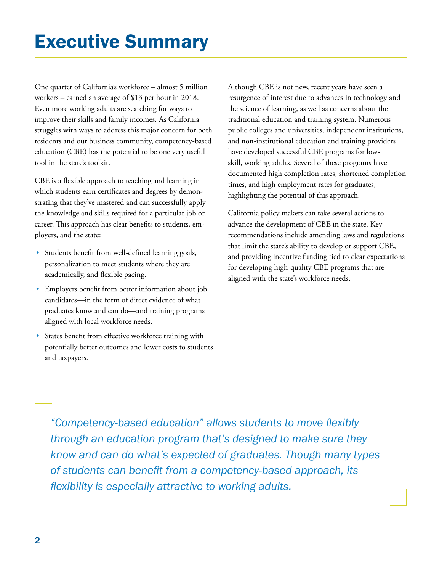One quarter of California's workforce – almost 5 million workers – earned an average of \$13 per hour in 2018. Even more working adults are searching for ways to improve their skills and family incomes. As California struggles with ways to address this major concern for both residents and our business community, competency-based education (CBE) has the potential to be one very useful tool in the state's toolkit.

CBE is a flexible approach to teaching and learning in which students earn certificates and degrees by demonstrating that they've mastered and can successfully apply the knowledge and skills required for a particular job or career. This approach has clear benefits to students, employers, and the state:

- Students benefit from well-defined learning goals, personalization to meet students where they are academically, and flexible pacing.
- Employers benefit from better information about job candidates—in the form of direct evidence of what graduates know and can do—and training programs aligned with local workforce needs.
- States benefit from effective workforce training with potentially better outcomes and lower costs to students and taxpayers.

Although CBE is not new, recent years have seen a resurgence of interest due to advances in technology and the science of learning, as well as concerns about the traditional education and training system. Numerous public colleges and universities, independent institutions, and non-institutional education and training providers have developed successful CBE programs for lowskill, working adults. Several of these programs have documented high completion rates, shortened completion times, and high employment rates for graduates, highlighting the potential of this approach.

California policy makers can take several actions to advance the development of CBE in the state. Key recommendations include amending laws and regulations that limit the state's ability to develop or support CBE, and providing incentive funding tied to clear expectations for developing high-quality CBE programs that are aligned with the state's workforce needs.

*"Competency-based education" allows students to move flexibly through an education program that's designed to make sure they know and can do what's expected of graduates. Though many types of students can benefit from a competency-based approach, its flexibility is especially attractive to working adults.*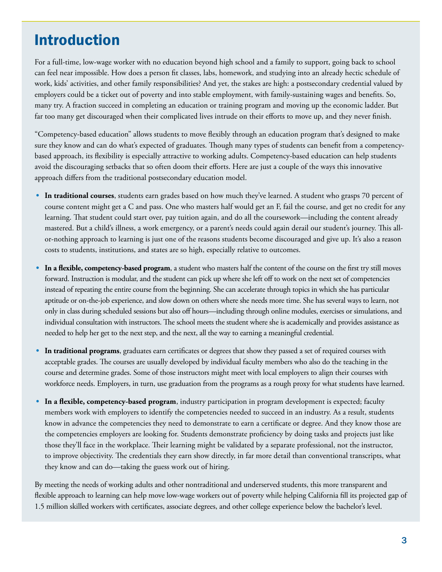## Introduction

For a full-time, low-wage worker with no education beyond high school and a family to support, going back to school can feel near impossible. How does a person fit classes, labs, homework, and studying into an already hectic schedule of work, kids' activities, and other family responsibilities? And yet, the stakes are high: a postsecondary credential valued by employers could be a ticket out of poverty and into stable employment, with family-sustaining wages and benefits. So, many try. A fraction succeed in completing an education or training program and moving up the economic ladder. But far too many get discouraged when their complicated lives intrude on their efforts to move up, and they never finish.

"Competency-based education" allows students to move flexibly through an education program that's designed to make sure they know and can do what's expected of graduates. Though many types of students can benefit from a competencybased approach, its flexibility is especially attractive to working adults. Competency-based education can help students avoid the discouraging setbacks that so often doom their efforts. Here are just a couple of the ways this innovative approach differs from the traditional postsecondary education model.

- **• In traditional courses**, students earn grades based on how much they've learned. A student who grasps 70 percent of course content might get a C and pass. One who masters half would get an F, fail the course, and get no credit for any learning. That student could start over, pay tuition again, and do all the coursework—including the content already mastered. But a child's illness, a work emergency, or a parent's needs could again derail our student's journey. This allor-nothing approach to learning is just one of the reasons students become discouraged and give up. It's also a reason costs to students, institutions, and states are so high, especially relative to outcomes.
- In a flexible, competency-based program, a student who masters half the content of the course on the first try still moves forward. Instruction is modular, and the student can pick up where she left off to work on the next set of competencies instead of repeating the entire course from the beginning. She can accelerate through topics in which she has particular aptitude or on-the-job experience, and slow down on others where she needs more time. She has several ways to learn, not only in class during scheduled sessions but also off hours—including through online modules, exercises or simulations, and individual consultation with instructors. The school meets the student where she is academically and provides assistance as needed to help her get to the next step, and the next, all the way to earning a meaningful credential.
- **• In traditional programs**, graduates earn certificates or degrees that show they passed a set of required courses with acceptable grades. The courses are usually developed by individual faculty members who also do the teaching in the course and determine grades. Some of those instructors might meet with local employers to align their courses with workforce needs. Employers, in turn, use graduation from the programs as a rough proxy for what students have learned.
- **• In a flexible, competency-based program**, industry participation in program development is expected; faculty members work with employers to identify the competencies needed to succeed in an industry. As a result, students know in advance the competencies they need to demonstrate to earn a certificate or degree. And they know those are the competencies employers are looking for. Students demonstrate proficiency by doing tasks and projects just like those they'll face in the workplace. Their learning might be validated by a separate professional, not the instructor, to improve objectivity. The credentials they earn show directly, in far more detail than conventional transcripts, what they know and can do—taking the guess work out of hiring.

By meeting the needs of working adults and other nontraditional and underserved students, this more transparent and flexible approach to learning can help move low-wage workers out of poverty while helping California fill its projected gap of 1.5 million skilled workers with certificates, associate degrees, and other college experience below the bachelor's level.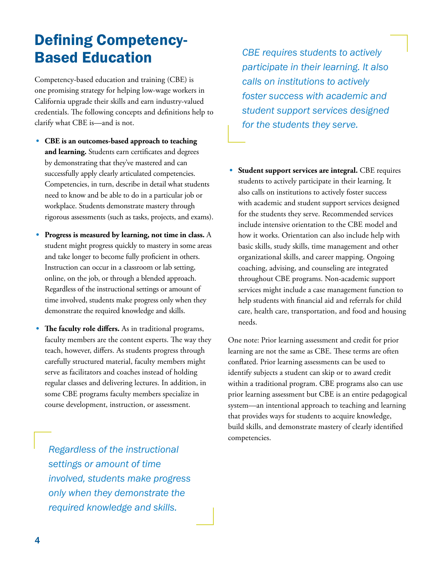## Defining Competency-Based Education

Competency-based education and training (CBE) is one promising strategy for helping low-wage workers in California upgrade their skills and earn industry-valued credentials. The following concepts and definitions help to clarify what CBE is—and is not.

- **• CBE is an outcomes-based approach to teaching and learning.** Students earn certificates and degrees by demonstrating that they've mastered and can successfully apply clearly articulated competencies. Competencies, in turn, describe in detail what students need to know and be able to do in a particular job or workplace. Students demonstrate mastery through rigorous assessments (such as tasks, projects, and exams).
- **• Progress is measured by learning, not time in class.** A student might progress quickly to mastery in some areas and take longer to become fully proficient in others. Instruction can occur in a classroom or lab setting, online, on the job, or through a blended approach. Regardless of the instructional settings or amount of time involved, students make progress only when they demonstrate the required knowledge and skills.
- **• The faculty role differs.** As in traditional programs, faculty members are the content experts. The way they teach, however, differs. As students progress through carefully structured material, faculty members might serve as facilitators and coaches instead of holding regular classes and delivering lectures. In addition, in some CBE programs faculty members specialize in course development, instruction, or assessment.

*Regardless of the instructional settings or amount of time involved, students make progress only when they demonstrate the required knowledge and skills.* 

*CBE requires students to actively participate in their learning. It also calls on institutions to actively foster success with academic and student support services designed for the students they serve.* 

**• Student support services are integral.** CBE requires students to actively participate in their learning. It also calls on institutions to actively foster success with academic and student support services designed for the students they serve. Recommended services include intensive orientation to the CBE model and how it works. Orientation can also include help with basic skills, study skills, time management and other organizational skills, and career mapping. Ongoing coaching, advising, and counseling are integrated throughout CBE programs. Non-academic support services might include a case management function to help students with financial aid and referrals for child care, health care, transportation, and food and housing needs.

One note: Prior learning assessment and credit for prior learning are not the same as CBE. These terms are often conflated. Prior learning assessments can be used to identify subjects a student can skip or to award credit within a traditional program. CBE programs also can use prior learning assessment but CBE is an entire pedagogical system—an intentional approach to teaching and learning that provides ways for students to acquire knowledge, build skills, and demonstrate mastery of clearly identified competencies.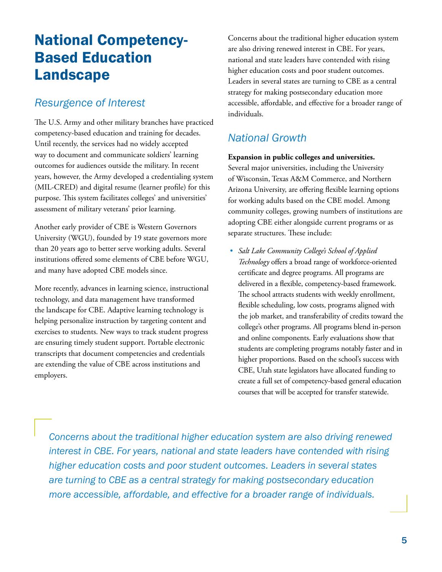## National Competency-Based Education Landscape

### *Resurgence of Interest*

The U.S. Army and other military branches have practiced competency-based education and training for decades. Until recently, the services had no widely accepted way to document and communicate soldiers' learning outcomes for audiences outside the military. In recent years, however, the Army developed a credentialing system (MIL-CRED) and digital resume (learner profile) for this purpose. This system facilitates colleges' and universities' assessment of military veterans' prior learning.

Another early provider of CBE is Western Governors University (WGU), founded by 19 state governors more than 20 years ago to better serve working adults. Several institutions offered some elements of CBE before WGU, and many have adopted CBE models since.

More recently, advances in learning science, instructional technology, and data management have transformed the landscape for CBE. Adaptive learning technology is helping personalize instruction by targeting content and exercises to students. New ways to track student progress are ensuring timely student support. Portable electronic transcripts that document competencies and credentials are extending the value of CBE across institutions and employers.

Concerns about the traditional higher education system are also driving renewed interest in CBE. For years, national and state leaders have contended with rising higher education costs and poor student outcomes. Leaders in several states are turning to CBE as a central strategy for making postsecondary education more accessible, affordable, and effective for a broader range of individuals.

## *National Growth*

#### **Expansion in public colleges and universities.**

Several major universities, including the University of Wisconsin, Texas A&M Commerce, and Northern Arizona University, are offering flexible learning options for working adults based on the CBE model. Among community colleges, growing numbers of institutions are adopting CBE either alongside current programs or as separate structures. These include:

*• Salt Lake Community College's School of Applied Technology* offers a broad range of workforce-oriented certificate and degree programs. All programs are delivered in a flexible, competency-based framework. The school attracts students with weekly enrollment, flexible scheduling, low costs, programs aligned with the job market, and transferability of credits toward the college's other programs. All programs blend in-person and online components. Early evaluations show that students are completing programs notably faster and in higher proportions. Based on the school's success with CBE, Utah state legislators have allocated funding to create a full set of competency-based general education courses that will be accepted for transfer statewide.

*Concerns about the traditional higher education system are also driving renewed interest in CBE. For years, national and state leaders have contended with rising higher education costs and poor student outcomes. Leaders in several states are turning to CBE as a central strategy for making postsecondary education more accessible, affordable, and effective for a broader range of individuals.*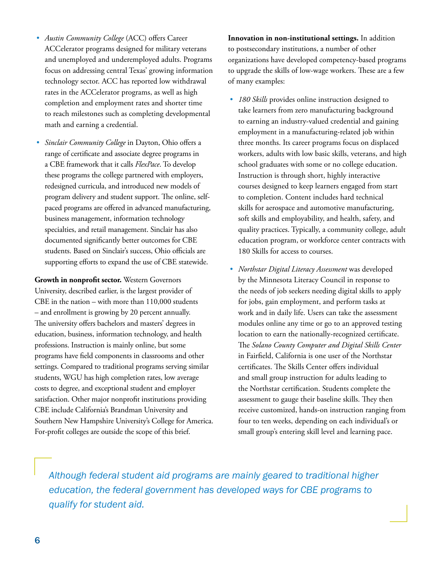- *• Austin Community College* (ACC) offers Career ACCelerator programs designed for military veterans and unemployed and underemployed adults. Programs focus on addressing central Texas' growing information technology sector. ACC has reported low withdrawal rates in the ACCelerator programs, as well as high completion and employment rates and shorter time to reach milestones such as completing developmental math and earning a credential.
- *• Sinclair Community College* in Dayton, Ohio offers a range of certificate and associate degree programs in a CBE framework that it calls *FlexPace*. To develop these programs the college partnered with employers, redesigned curricula, and introduced new models of program delivery and student support. The online, selfpaced programs are offered in advanced manufacturing, business management, information technology specialties, and retail management. Sinclair has also documented significantly better outcomes for CBE students. Based on Sinclair's success, Ohio officials are supporting efforts to expand the use of CBE statewide.

**Growth in nonprofit sector.** Western Governors University, described earlier, is the largest provider of CBE in the nation – with more than 110,000 students – and enrollment is growing by 20 percent annually. The university offers bachelors and masters' degrees in education, business, information technology, and health professions. Instruction is mainly online, but some programs have field components in classrooms and other settings. Compared to traditional programs serving similar students, WGU has high completion rates, low average costs to degree, and exceptional student and employer satisfaction. Other major nonprofit institutions providing CBE include California's Brandman University and Southern New Hampshire University's College for America. For-profit colleges are outside the scope of this brief.

**Innovation in non-institutional settings.** In addition to postsecondary institutions, a number of other organizations have developed competency-based programs to upgrade the skills of low-wage workers. These are a few of many examples:

- *• 180 Skills* provides online instruction designed to take learners from zero manufacturing background to earning an industry-valued credential and gaining employment in a manufacturing-related job within three months. Its career programs focus on displaced workers, adults with low basic skills, veterans, and high school graduates with some or no college education. Instruction is through short, highly interactive courses designed to keep learners engaged from start to completion. Content includes hard technical skills for aerospace and automotive manufacturing, soft skills and employability, and health, safety, and quality practices. Typically, a community college, adult education program, or workforce center contracts with 180 Skills for access to courses.
- *• Northstar Digital Literacy Assessment* was developed by the Minnesota Literacy Council in response to the needs of job seekers needing digital skills to apply for jobs, gain employment, and perform tasks at work and in daily life. Users can take the assessment modules online any time or go to an approved testing location to earn the nationally-recognized certificate. The *Solano County Computer and Digital Skills Center*  in Fairfield, California is one user of the Northstar certificates. The Skills Center offers individual and small group instruction for adults leading to the Northstar certification. Students complete the assessment to gauge their baseline skills. They then receive customized, hands-on instruction ranging from four to ten weeks, depending on each individual's or small group's entering skill level and learning pace.

*Although federal student aid programs are mainly geared to traditional higher education, the federal government has developed ways for CBE programs to qualify for student aid.*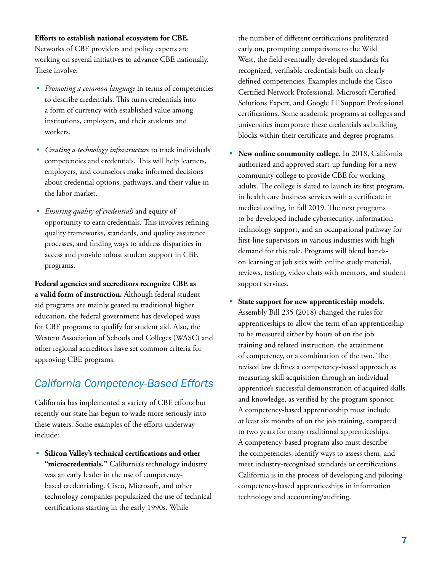#### **Efforts to establish national ecosystem for CBE.**

Networks of CBE providers and policy experts are working on several initiatives to advance CBE nationally. These involve:

- *• Promoting a common language* in terms of competencies to describe credentials. This turns credentials into a form of currency with established value among institutions, employers, and their students and workers.
- *• Creating a technology infrastructure* to track individuals' competencies and credentials. This will help learners, employers, and counselors make informed decisions about credential options, pathways, and their value in the labor market.
- *• Ensuring quality of credentials* and equity of opportunity to earn credentials. This involves refining quality frameworks, standards, and quality assurance processes, and finding ways to address disparities in access and provide robust student support in CBE programs.

**Federal agencies and accreditors recognize CBE as a valid form of instruction.** Although federal student aid programs are mainly geared to traditional higher education, the federal government has developed ways for CBE programs to qualify for student aid. Also, the Western Association of Schools and Colleges (WASC) and other regional accreditors have set common criteria for approving CBE programs.

### *California Competency-Based Efforts*

California has implemented a variety of CBE efforts but recently our state has begun to wade more seriously into these waters. Some examples of the efforts underway include:

**• Silicon Valley's technical certifications and other**  "microcredentials." California's technology industry was an early leader in the use of competencybased credentialing. Cisco, Microsoft, and other technology companies popularized the use of technical certifications starting in the early 1990s. While

the number of different certifications proliferated early on, prompting comparisons to the Wild West, the field eventually developed standards for recognized, verifiable credentials built on clearly defined competencies. Examples include the Cisco Certified Network Professional, Microsoft Certified Solutions Expert, and Google IT Support Professional certifications. Some academic programs at colleges and universities incorporate these credentials as building blocks within their certificate and degree programs.

- **• New online community college.** In 2018, California authorized and approved start-up funding for a new community college to provide CBE for working adults. The college is slated to launch its first program, in health care business services with a certificate in medical coding, in fall 2019. The next programs to be developed include cybersecurity, information technology support, and an occupational pathway for first-line supervisors in various industries with high demand for this role. Programs will blend handson learning at job sites with online study material, reviews, testing, video chats with mentors, and student support services.
- **• State support for new apprenticeship models.** Assembly Bill 235 (2018) changed the rules for apprenticeships to allow the term of an apprenticeship to be measured either by hours of on the job training and related instruction, the attainment of competency, or a combination of the two. The revised law defines a competency-based approach as measuring skill acquisition through an individual apprentice's successful demonstration of acquired skills and knowledge, as verified by the program sponsor. A competency-based apprenticeship must include at least six months of on the job training, compared to two years for many traditional apprenticeships. A competency-based program also must describe the competencies, identify ways to assess them, and meet industry-recognized standards or certifications. California is in the process of developing and piloting competency-based apprenticeships in information technology and accounting/auditing.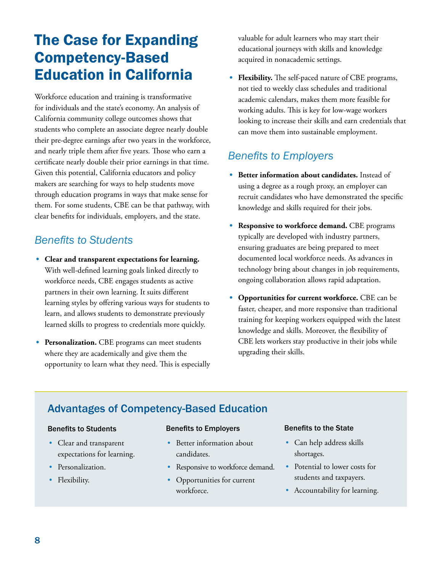## The Case for Expanding Competency-Based Education in California

Workforce education and training is transformative for individuals and the state's economy. An analysis of California community college outcomes shows that students who complete an associate degree nearly double their pre-degree earnings after two years in the workforce, and nearly triple them after five years. Those who earn a certificate nearly double their prior earnings in that time. Given this potential, California educators and policy makers are searching for ways to help students move through education programs in ways that make sense for them. For some students, CBE can be that pathway, with clear benefits for individuals, employers, and the state.

## *Benefits to Students*

- **• Clear and transparent expectations for learning.**  With well-defined learning goals linked directly to workforce needs, CBE engages students as active partners in their own learning. It suits different learning styles by offering various ways for students to learn, and allows students to demonstrate previously learned skills to progress to credentials more quickly.
- **• Personalization.** CBE programs can meet students where they are academically and give them the opportunity to learn what they need. This is especially

valuable for adult learners who may start their educational journeys with skills and knowledge acquired in nonacademic settings.

**• Flexibility.** The self-paced nature of CBE programs, not tied to weekly class schedules and traditional academic calendars, makes them more feasible for working adults. This is key for low-wage workers looking to increase their skills and earn credentials that can move them into sustainable employment.

## *Benefits to Employers*

- **• Better information about candidates.** Instead of using a degree as a rough proxy, an employer can recruit candidates who have demonstrated the specific knowledge and skills required for their jobs.
- **• Responsive to workforce demand.** CBE programs typically are developed with industry partners, ensuring graduates are being prepared to meet documented local workforce needs. As advances in technology bring about changes in job requirements, ongoing collaboration allows rapid adaptation.
- **• Opportunities for current workforce.** CBE can be faster, cheaper, and more responsive than traditional training for keeping workers equipped with the latest knowledge and skills. Moreover, the flexibility of CBE lets workers stay productive in their jobs while upgrading their skills.

## Advantages of Competency-Based Education

#### Benefits to Students

- Clear and transparent expectations for learning.
- Personalization.
- Flexibility.

#### Benefits to Employers

- Better information about candidates.
- Responsive to workforce demand.
- Opportunities for current workforce.

#### Benefits to the State

- Can help address skills shortages.
- Potential to lower costs for students and taxpayers.
- Accountability for learning.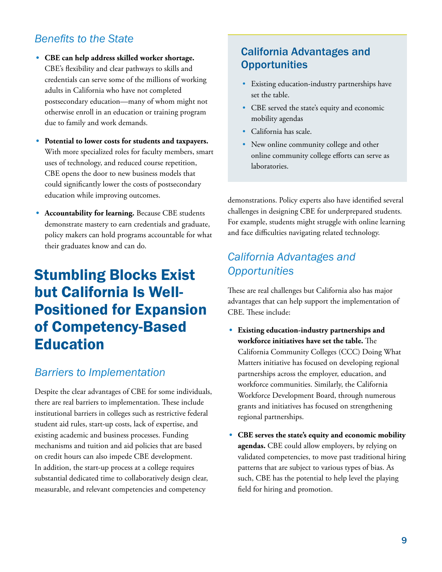## *Benefits to the State*

- **• CBE can help address skilled worker shortage.** CBE's flexibility and clear pathways to skills and credentials can serve some of the millions of working adults in California who have not completed postsecondary education—many of whom might not otherwise enroll in an education or training program due to family and work demands.
- **• Potential to lower costs for students and taxpayers.** With more specialized roles for faculty members, smart uses of technology, and reduced course repetition, CBE opens the door to new business models that could significantly lower the costs of postsecondary education while improving outcomes.
- **• Accountability for learning.** Because CBE students demonstrate mastery to earn credentials and graduate, policy makers can hold programs accountable for what their graduates know and can do.

## Stumbling Blocks Exist but California Is Well-Positioned for Expansion of Competency-Based Education

### *Barriers to Implementation*

Despite the clear advantages of CBE for some individuals, there are real barriers to implementation. These include institutional barriers in colleges such as restrictive federal student aid rules, start-up costs, lack of expertise, and existing academic and business processes. Funding mechanisms and tuition and aid policies that are based on credit hours can also impede CBE development. In addition, the start-up process at a college requires substantial dedicated time to collaboratively design clear, measurable, and relevant competencies and competency

### California Advantages and **Opportunities**

- Existing education-industry partnerships have set the table.
- CBE served the state's equity and economic mobility agendas
- California has scale.
- New online community college and other online community college efforts can serve as laboratories.

demonstrations. Policy experts also have identified several challenges in designing CBE for underprepared students. For example, students might struggle with online learning and face difficulties navigating related technology.

## *California Advantages and Opportunities*

These are real challenges but California also has major advantages that can help support the implementation of CBE. These include:

- **• Existing education-industry partnerships and workforce initiatives have set the table.** The California Community Colleges (CCC) Doing What Matters initiative has focused on developing regional partnerships across the employer, education, and workforce communities. Similarly, the California Workforce Development Board, through numerous grants and initiatives has focused on strengthening regional partnerships.
- **• CBE serves the state's equity and economic mobility agendas.** CBE could allow employers, by relying on validated competencies, to move past traditional hiring patterns that are subject to various types of bias. As such, CBE has the potential to help level the playing field for hiring and promotion.